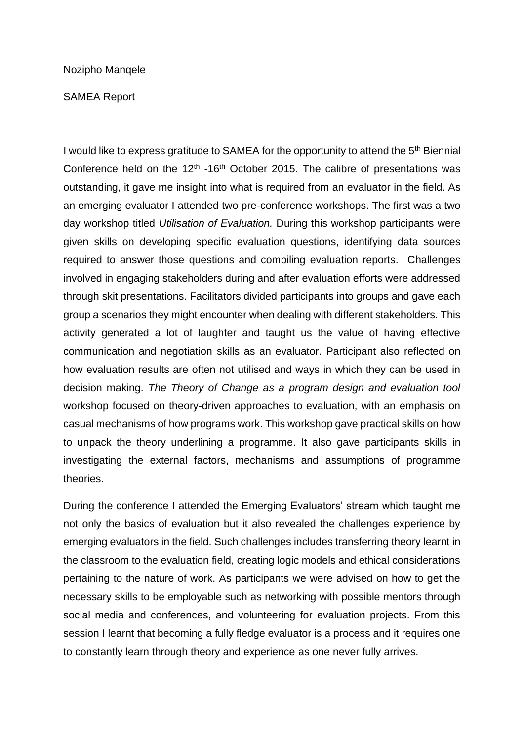## Nozipho Manqele

## SAMEA Report

I would like to express gratitude to SAMEA for the opportunity to attend the 5<sup>th</sup> Biennial Conference held on the  $12<sup>th</sup> - 16<sup>th</sup>$  October 2015. The calibre of presentations was outstanding, it gave me insight into what is required from an evaluator in the field. As an emerging evaluator I attended two pre-conference workshops. The first was a two day workshop titled *Utilisation of Evaluation.* During this workshop participants were given skills on developing specific evaluation questions, identifying data sources required to answer those questions and compiling evaluation reports. Challenges involved in engaging stakeholders during and after evaluation efforts were addressed through skit presentations. Facilitators divided participants into groups and gave each group a scenarios they might encounter when dealing with different stakeholders. This activity generated a lot of laughter and taught us the value of having effective communication and negotiation skills as an evaluator. Participant also reflected on how evaluation results are often not utilised and ways in which they can be used in decision making. *The Theory of Change as a program design and evaluation tool*  workshop focused on theory-driven approaches to evaluation, with an emphasis on casual mechanisms of how programs work. This workshop gave practical skills on how to unpack the theory underlining a programme. It also gave participants skills in investigating the external factors, mechanisms and assumptions of programme theories.

During the conference I attended the Emerging Evaluators' stream which taught me not only the basics of evaluation but it also revealed the challenges experience by emerging evaluators in the field. Such challenges includes transferring theory learnt in the classroom to the evaluation field, creating logic models and ethical considerations pertaining to the nature of work. As participants we were advised on how to get the necessary skills to be employable such as networking with possible mentors through social media and conferences, and volunteering for evaluation projects. From this session I learnt that becoming a fully fledge evaluator is a process and it requires one to constantly learn through theory and experience as one never fully arrives.